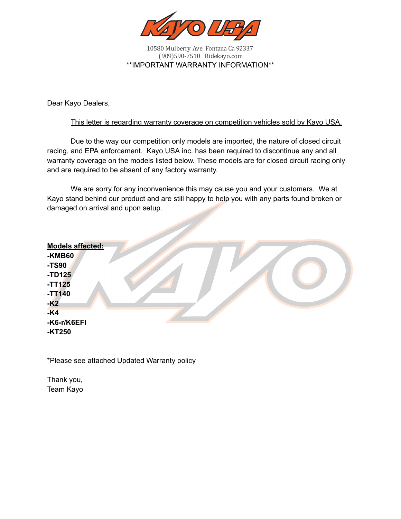

10580 Mulberry Ave. Fontana Ca 92337 (909)590-7510 Ridekayo.com \*\*IMPORTANT WARRANTY INFORMATION\*\*

Dear Kayo Dealers,

#### This letter is regarding warranty coverage on competition vehicles sold by Kayo USA.

Due to the way our competition only models are imported, the nature of closed circuit racing, and EPA enforcement. Kayo USA inc. has been required to discontinue any and all warranty coverage on the models listed below. These models are for closed circuit racing only and are required to be absent of any factory warranty.

We are sorry for any inconvenience this may cause you and your customers. We at Kayo stand behind our product and are still happy to help you with any parts found broken or damaged on arrival and upon setup.

| <b>Models affected:</b> |  |
|-------------------------|--|
| <b>-KMB60</b>           |  |
| -TS90                   |  |
| $-TD125$<br>$-TT125$    |  |
| $-TT140$                |  |
| $-K2$                   |  |
| $-K4$                   |  |
| -K6-r/K6EFI             |  |
| -KT250                  |  |

\*Please see attached Updated Warranty policy

Thank you, Team Kayo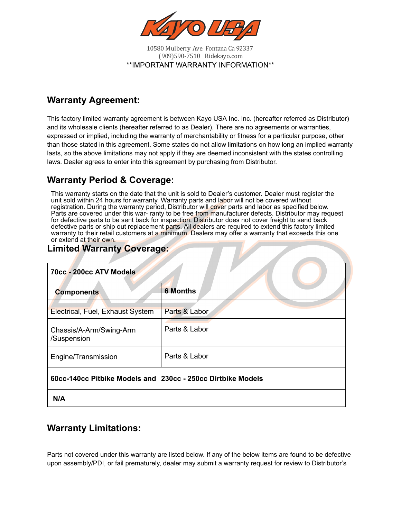

10580 Mulberry Ave. Fontana Ca 92337 (909)590-7510 Ridekayo.com \*\*IMPORTANT WARRANTY INFORMATION\*\*

## **Warranty Agreement:**

This factory limited warranty agreement is between Kayo USA Inc. Inc. (hereafter referred as Distributor) and its wholesale clients (hereafter referred to as Dealer). There are no agreements or warranties, expressed or implied, including the warranty of merchantability or fitness for a particular purpose, other than those stated in this agreement. Some states do not allow limitations on how long an implied warranty lasts, so the above limitations may not apply if they are deemed inconsistent with the states controlling laws. Dealer agrees to enter into this agreement by purchasing from Distributor.

### **Warranty Period & Coverage:**

This warranty starts on the date that the unit is sold to Dealer's customer. Dealer must register the unit sold within 24 hours for warranty. Warranty parts and labor will not be covered without registration. During the warranty period, Distributor will cover parts and labor as specified below. Parts are covered under this war- ranty to be free from manufacturer defects. Distributor may request for defective parts to be sent back for inspection. Distributor does not cover freight to send back defective parts or ship out replacement parts. All dealers are required to extend this factory limited warranty to their retail customers at a minimum. Dealers may offer a warranty that exceeds this one or extend at their own.

# **Limited Warranty Coverage:**

| 70cc - 200cc ATV Models                                     |                 |  |  |  |
|-------------------------------------------------------------|-----------------|--|--|--|
| <b>Components</b>                                           | <b>6 Months</b> |  |  |  |
| <b>Electrical, Fuel, Exhaust System</b>                     | Parts & Labor   |  |  |  |
| Chassis/A-Arm/Swing-Arm<br>/Suspension                      | Parts & Labor   |  |  |  |
| Engine/Transmission                                         | Parts & Labor   |  |  |  |
| 60cc-140cc Pitbike Models and 230cc - 250cc Dirtbike Models |                 |  |  |  |
| N/A                                                         |                 |  |  |  |

### **Warranty Limitations:**

Parts not covered under this warranty are listed below. If any of the below items are found to be defective upon assembly/PDI, or fail prematurely, dealer may submit a warranty request for review to Distributor's